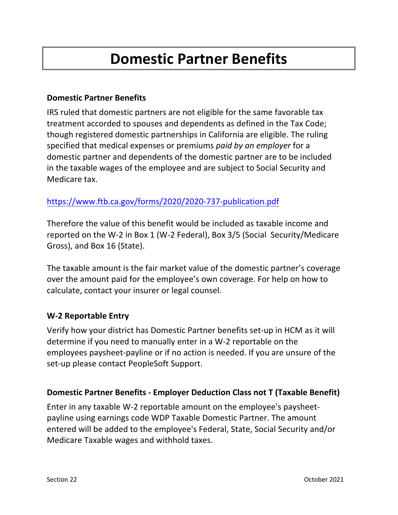# **Domestic Partner Benefits**

## **Domestic Partner Benefits**

IRS ruled that domestic partners are not eligible for the same favorable tax treatment accorded to spouses and dependents as defined in the Tax Code; though registered domestic partnerships in California are eligible. The ruling specified that medical expenses or premiums *paid by an employer* for a domestic partner and dependents of the domestic partner are to be included in the taxable wages of the employee and are subject to Social Security and Medicare tax.

## <https://www.ftb.ca.gov/forms/2020/2020-737-publication.pdf>

Therefore the value of this benefit would be included as taxable income and reported on the W‐2 in Box 1 (W‐2 Federal), Box 3/5 (Social Security/Medicare Gross), and Box 16 (State).

The taxable amount is the fair market value of the domestic partner's coverage over the amount paid for the employee's own coverage. For help on how to calculate, contact your insurer or legal counsel.

## **W-2 Reportable Entry**

Verify how your district has Domestic Partner benefits set-up in HCM as it will determine if you need to manually enter in a W-2 reportable on the employees paysheet-payline or if no action is needed. If you are unsure of the set-up please contact PeopleSoft Support.

## **Domestic Partner Benefits - Employer Deduction Class not T (Taxable Benefit)**

Enter in any taxable W-2 reportable amount on the employee's paysheetpayline using earnings code WDP Taxable Domestic Partner. The amount entered will be added to the employee's Federal, State, Social Security and/or Medicare Taxable wages and withhold taxes.